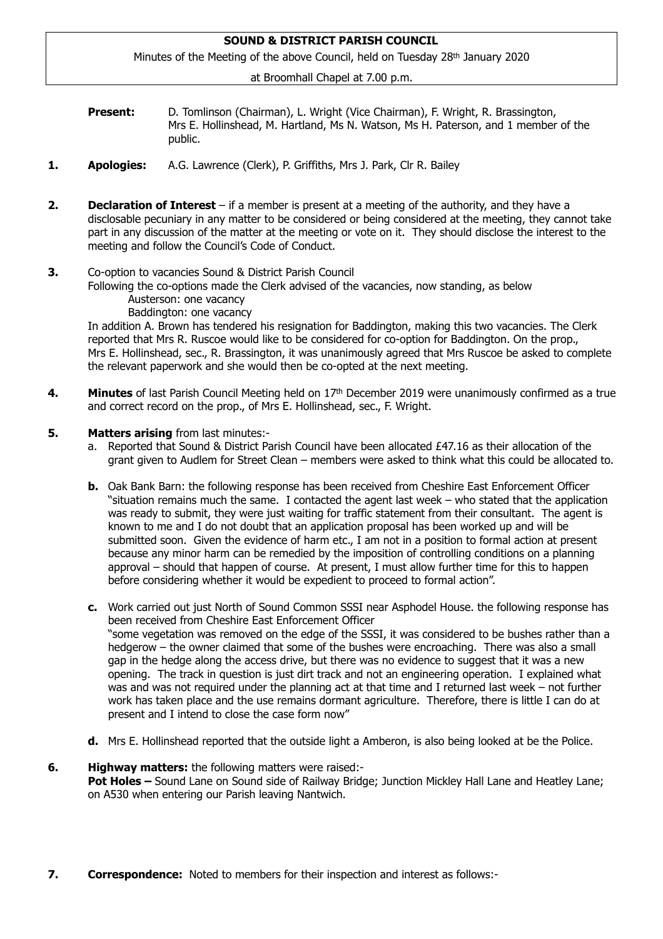# **SOUND & DISTRICT PARISH COUNCIL**

Minutes of the Meeting of the above Council, held on Tuesday 28th January 2020

at Broomhall Chapel at 7.00 p.m.

- **Present:** D. Tomlinson (Chairman), L. Wright (Vice Chairman), F. Wright, R. Brassington, Mrs E. Hollinshead, M. Hartland, Ms N. Watson, Ms H. Paterson, and 1 member of the public.
- **1. Apologies:** A.G. Lawrence (Clerk), P. Griffiths, Mrs J. Park, Clr R. Bailey
- **2. Declaration of Interest** if a member is present at a meeting of the authority, and they have a disclosable pecuniary in any matter to be considered or being considered at the meeting, they cannot take part in any discussion of the matter at the meeting or vote on it. They should disclose the interest to the meeting and follow the Council's Code of Conduct.
- **3.** Co-option to vacancies Sound & District Parish Council

 Following the co-options made the Clerk advised of the vacancies, now standing, as below Austerson: one vacancy

Baddington: one vacancy

In addition A. Brown has tendered his resignation for Baddington, making this two vacancies. The Clerk reported that Mrs R. Ruscoe would like to be considered for co-option for Baddington. On the prop., Mrs E. Hollinshead, sec., R. Brassington, it was unanimously agreed that Mrs Ruscoe be asked to complete the relevant paperwork and she would then be co-opted at the next meeting.

- **4. Minutes** of last Parish Council Meeting held on 17<sup>th</sup> December 2019 were unanimously confirmed as a true and correct record on the prop., of Mrs E. Hollinshead, sec., F. Wright.
- **5. Matters arising** from last minutes:
	- a. Reported that Sound & District Parish Council have been allocated £47.16 as their allocation of the grant given to Audlem for Street Clean – members were asked to think what this could be allocated to.
	- **b.** Oak Bank Barn: the following response has been received from Cheshire East Enforcement Officer "situation remains much the same. I contacted the agent last week – who stated that the application was ready to submit, they were just waiting for traffic statement from their consultant. The agent is known to me and I do not doubt that an application proposal has been worked up and will be submitted soon. Given the evidence of harm etc., I am not in a position to formal action at present because any minor harm can be remedied by the imposition of controlling conditions on a planning approval – should that happen of course. At present, I must allow further time for this to happen before considering whether it would be expedient to proceed to formal action".
	- **c.** Work carried out just North of Sound Common SSSI near Asphodel House. the following response has been received from Cheshire East Enforcement Officer "some vegetation was removed on the edge of the SSSI, it was considered to be bushes rather than a hedgerow – the owner claimed that some of the bushes were encroaching. There was also a small gap in the hedge along the access drive, but there was no evidence to suggest that it was a new opening. The track in question is just dirt track and not an engineering operation. I explained what was and was not required under the planning act at that time and I returned last week – not further work has taken place and the use remains dormant agriculture. Therefore, there is little I can do at present and I intend to close the case form now"
	- **d.** Mrs E. Hollinshead reported that the outside light a Amberon, is also being looked at be the Police.

## **6. Highway matters:** the following matters were raised:-  **Pot Holes –** Sound Lane on Sound side of Railway Bridge; Junction Mickley Hall Lane and Heatley Lane; on A530 when entering our Parish leaving Nantwich.

**7. Correspondence:** Noted to members for their inspection and interest as follows:-